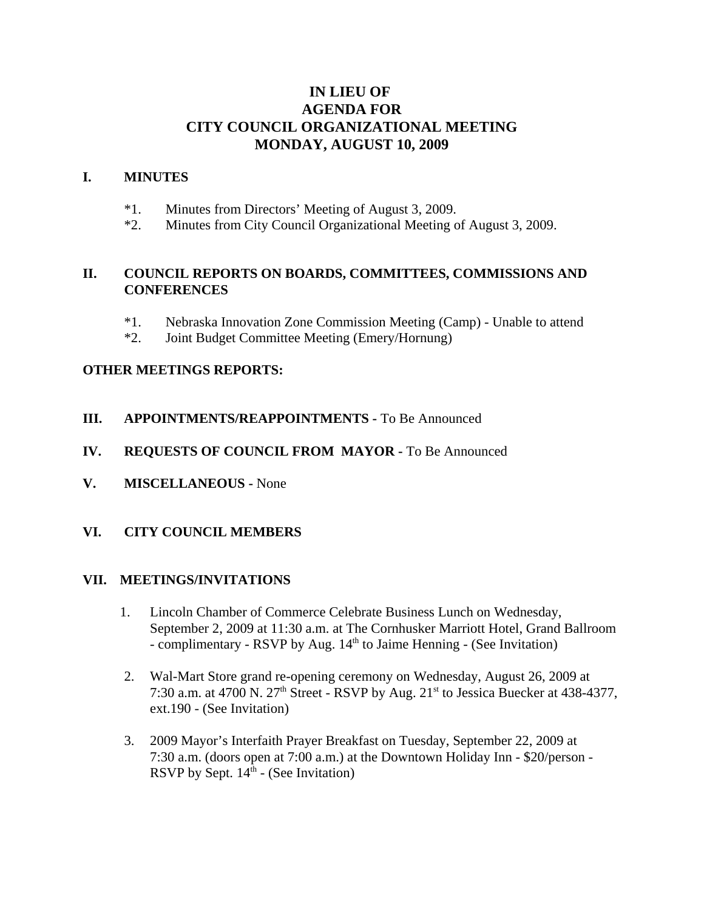# **IN LIEU OF AGENDA FOR CITY COUNCIL ORGANIZATIONAL MEETING MONDAY, AUGUST 10, 2009**

## **I. MINUTES**

- \*1. Minutes from Directors' Meeting of August 3, 2009.
- \*2. Minutes from City Council Organizational Meeting of August 3, 2009.

# **II. COUNCIL REPORTS ON BOARDS, COMMITTEES, COMMISSIONS AND CONFERENCES**

- \*1. Nebraska Innovation Zone Commission Meeting (Camp) Unable to attend
- \*2. Joint Budget Committee Meeting (Emery/Hornung)

### **OTHER MEETINGS REPORTS:**

- **III. APPOINTMENTS/REAPPOINTMENTS -** To Be Announced
- **IV. REQUESTS OF COUNCIL FROM MAYOR -** To Be Announced
- **V. MISCELLANEOUS** None
- **VI. CITY COUNCIL MEMBERS**

#### **VII. MEETINGS/INVITATIONS**

- 1. Lincoln Chamber of Commerce Celebrate Business Lunch on Wednesday, September 2, 2009 at 11:30 a.m. at The Cornhusker Marriott Hotel, Grand Ballroom - complimentary - RSVP by Aug. 14<sup>th</sup> to Jaime Henning - (See Invitation)
- 2. Wal-Mart Store grand re-opening ceremony on Wednesday, August 26, 2009 at 7:30 a.m. at 4700 N.  $27<sup>th</sup>$  Street - RSVP by Aug.  $21<sup>st</sup>$  to Jessica Buecker at 438-4377, ext.190 - (See Invitation)
- 3. 2009 Mayor's Interfaith Prayer Breakfast on Tuesday, September 22, 2009 at 7:30 a.m. (doors open at 7:00 a.m.) at the Downtown Holiday Inn - \$20/person - RSVP by Sept.  $14<sup>th</sup>$  - (See Invitation)